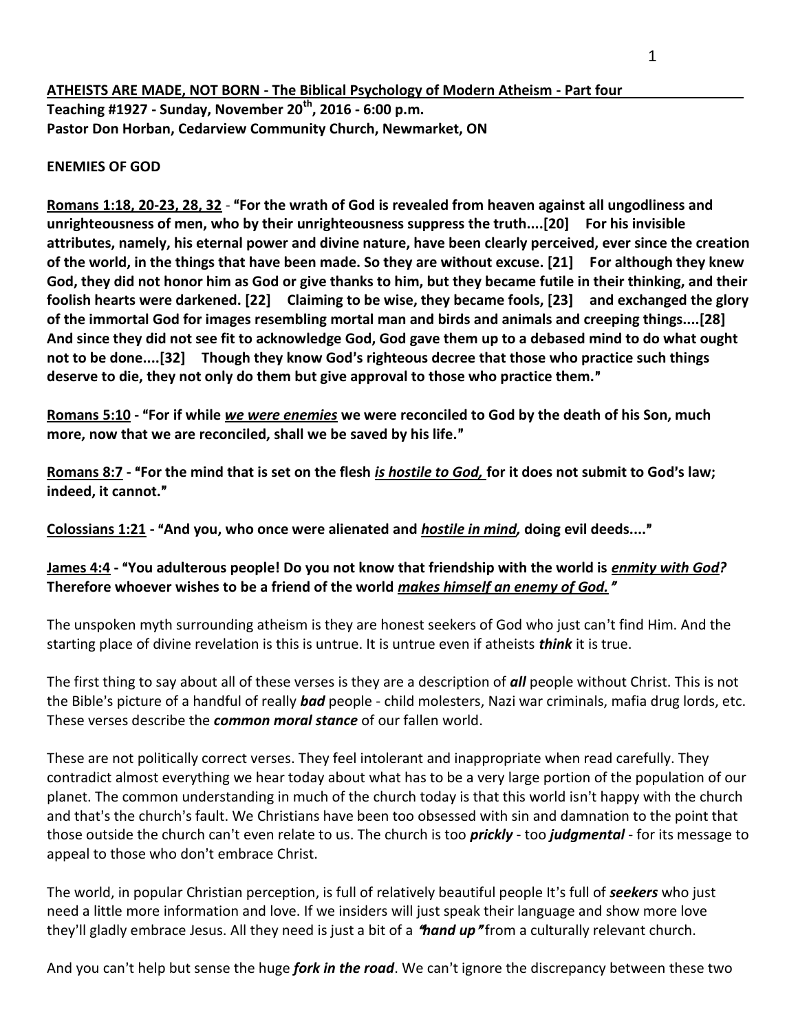**ATHEISTS ARE MADE, NOT BORN - The Biblical Psychology of Modern Atheism - Part four Teaching #1927 - Sunday, November 20th, 2016 - 6:00 p.m. Pastor Don Horban, Cedarview Community Church, Newmarket, ON**

#### **ENEMIES OF GOD**

Romans 1:18, 20-23, 28, 32 - "For the wrath of God is revealed from heaven against all ungodliness and **unrighteousness of men, who by their unrighteousness suppress the truth....[20] For his invisible attributes, namely, his eternal power and divine nature, have been clearly perceived, ever since the creation of the world, in the things that have been made. So they are without excuse. [21] For although they knew God, they did not honor him as God or give thanks to him, but they became futile in their thinking, and their foolish hearts were darkened. [22] Claiming to be wise, they became fools, [23] and exchanged the glory of the immortal God for images resembling mortal man and birds and animals and creeping things....[28] And since they did not see fit to acknowledge God, God gave them up to a debased mind to do what ought**  not to be done....[32] Though they know God's righteous decree that those who practice such things **deserve to die, they not only do them but give approval to those who practice them.**@

**Romans 5:10** - "For if while *we were enemies* we were reconciled to God by the death of his Son, much more, now that we are reconciled, shall we be saved by his life."

**Romans 8:7** - "For the mind that is set on the flesh *is hostile to God,* for it does not submit to God's law; **indeed, it cannot.**@

**Colossians 1:21 -** A**And you, who once were alienated and** *hostile in mind,* **doing evil deeds....**@

## **James 4:4 -** A**You adulterous people! Do you not know that friendship with the world is** *enmity with God?*  **Therefore whoever wishes to be a friend of the world** *makes himself an enemy of God.*@

The unspoken myth surrounding atheism is they are honest seekers of God who just can't find Him. And the starting place of divine revelation is this is untrue. It is untrue even if atheists *think* it is true.

The first thing to say about all of these verses is they are a description of *all* people without Christ. This is not the Bible's picture of a handful of really **bad** people - child molesters, Nazi war criminals, mafia drug lords, etc. These verses describe the *common moral stance* of our fallen world.

These are not politically correct verses. They feel intolerant and inappropriate when read carefully. They contradict almost everything we hear today about what has to be a very large portion of the population of our planet. The common understanding in much of the church today is that this world isn't happy with the church and that's the church's fault. We Christians have been too obsessed with sin and damnation to the point that those outside the church can't even relate to us. The church is too *prickly* - too *judgmental* - for its message to appeal to those who don't embrace Christ.

The world, in popular Christian perception, is full of relatively beautiful people It's full of **seekers** who just need a little more information and love. If we insiders will just speak their language and show more love they'll gladly embrace Jesus. All they need is just a bit of a **"hand up**" from a culturally relevant church.

And you can't help but sense the huge *fork in the road*. We can't ignore the discrepancy between these two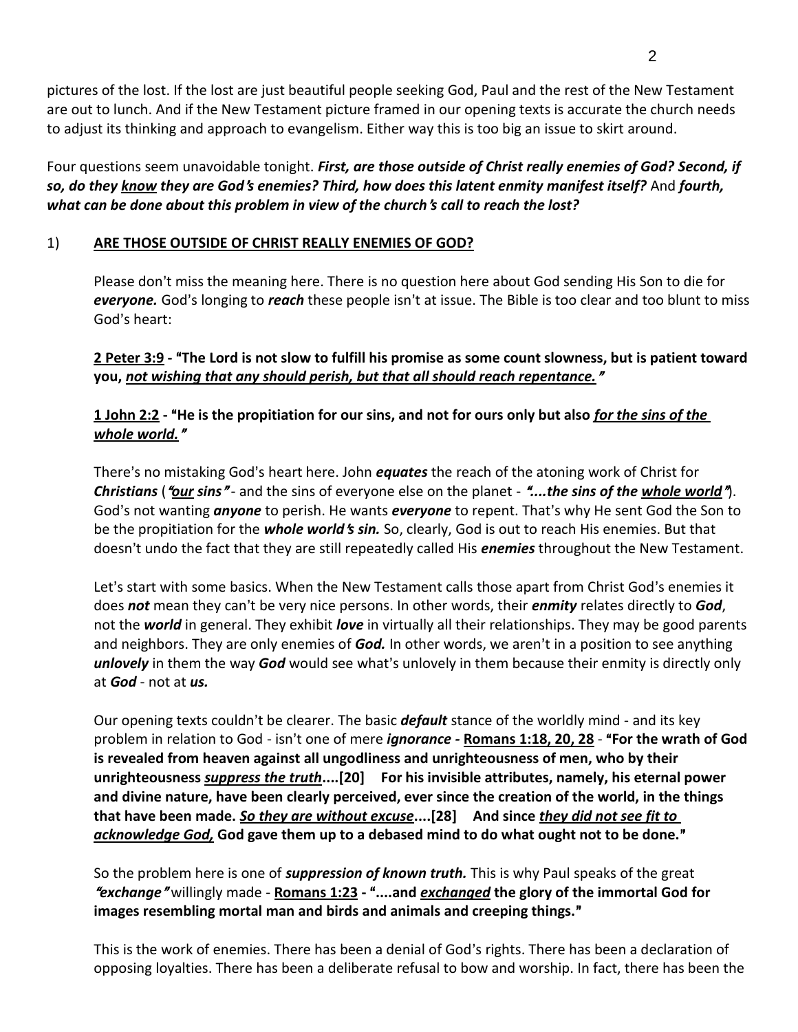pictures of the lost. If the lost are just beautiful people seeking God, Paul and the rest of the New Testament are out to lunch. And if the New Testament picture framed in our opening texts is accurate the church needs to adjust its thinking and approach to evangelism. Either way this is too big an issue to skirt around.

Four questions seem unavoidable tonight. *First, are those outside of Christ really enemies of God? Second, if*  so, do they know they are God's enemies? Third, how does this latent enmity manifest itself? And fourth, *what can be done about this problem in view of the church*=*s call to reach the lost?*

# 1) **ARE THOSE OUTSIDE OF CHRIST REALLY ENEMIES OF GOD?**

Please don't miss the meaning here. There is no question here about God sending His Son to die for *everyone.* God's longing to *reach* these people isn't at issue. The Bible is too clear and too blunt to miss God's heart:

### **2 Peter 3:9 - "The Lord is not slow to fulfill his promise as some count slowness, but is patient toward** you, not wishing that any should perish, but that all should reach repentance."

## **1 John 2:2 -** A**He is the propitiation for our sins, and not for ours only but also** *for the sins of the whole world.*@

There's no mistaking God's heart here. John *equates* the reach of the atoning work of Christ for *Christians* (*"our sins*" - and the sins of everyone else on the planet - "...the sins of the whole world"). God's not wanting *anyone* to perish. He wants *everyone* to repent. That's why He sent God the Son to be the propitiation for the *whole world's sin.* So, clearly, God is out to reach His enemies. But that doesn't undo the fact that they are still repeatedly called His *enemies* throughout the New Testament.

Let's start with some basics. When the New Testament calls those apart from Christ God's enemies it does **not** mean they can't be very nice persons. In other words, their **enmity** relates directly to **God**, not the *world* in general. They exhibit *love* in virtually all their relationships. They may be good parents and neighbors. They are only enemies of **God.** In other words, we aren't in a position to see anything **unlovely** in them the way **God** would see what's unlovely in them because their enmity is directly only at *God* - not at *us.*

Our opening texts couldn't be clearer. The basic *default* stance of the worldly mind - and its key problem in relation to God - isn't one of mere *ignorance -* **Romans 1:18, 20, 28** - "**For the wrath of God is revealed from heaven against all ungodliness and unrighteousness of men, who by their unrighteousness** *suppress the truth***....[20] For his invisible attributes, namely, his eternal power and divine nature, have been clearly perceived, ever since the creation of the world, in the things that have been made.** *So they are without excuse***....[28] And since** *they did not see fit to*  acknowledge God, God gave them up to a debased mind to do what ought not to be done."

So the problem here is one of *suppression of known truth.* This is why Paul speaks of the great <sup>A</sup>*exchange*@ willingly made - **Romans 1:23 -** A**....and** *exchanged* **the glory of the immortal God for images resembling mortal man and birds and animals and creeping things.**@

This is the work of enemies. There has been a denial of God's rights. There has been a declaration of opposing loyalties. There has been a deliberate refusal to bow and worship. In fact, there has been the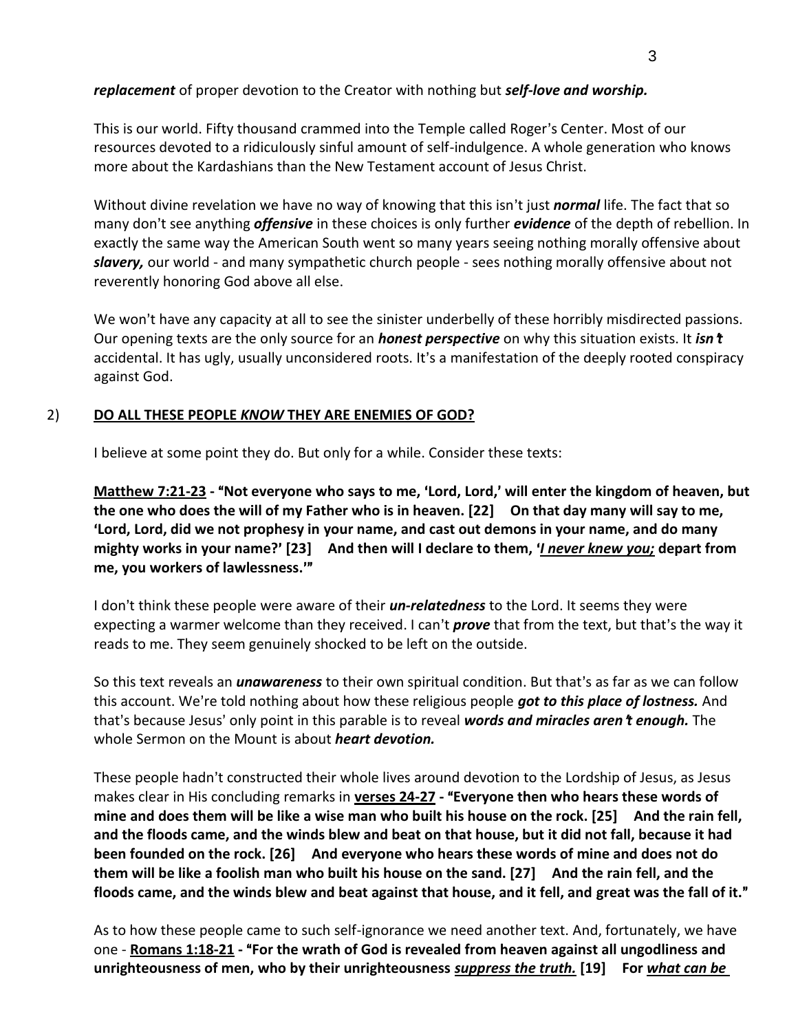## *replacement* of proper devotion to the Creator with nothing but *self-love and worship.*

This is our world. Fifty thousand crammed into the Temple called Roger's Center. Most of our resources devoted to a ridiculously sinful amount of self-indulgence. A whole generation who knows more about the Kardashians than the New Testament account of Jesus Christ.

Without divine revelation we have no way of knowing that this isn't just *normal* life. The fact that so many don't see anything *offensive* in these choices is only further *evidence* of the depth of rebellion. In exactly the same way the American South went so many years seeing nothing morally offensive about *slavery,* our world - and many sympathetic church people - sees nothing morally offensive about not reverently honoring God above all else.

We won't have any capacity at all to see the sinister underbelly of these horribly misdirected passions. Our opening texts are the only source for an *honest perspective* on why this situation exists. It *isn*=*t* accidental. It has ugly, usually unconsidered roots. It's a manifestation of the deeply rooted conspiracy against God.

## 2) **DO ALL THESE PEOPLE** *KNOW* **THEY ARE ENEMIES OF GOD?**

I believe at some point they do. But only for a while. Consider these texts:

**Matthew 7:21-23 - "Not everyone who says to me, 'Lord, Lord,' will enter the kingdom of heaven, but the one who does the will of my Father who is in heaven. [22] On that day many will say to me,**  >**Lord, Lord, did we not prophesy in your name, and cast out demons in your name, and do many mighty works in your name?'** [23] And then will I declare to them, *'I never knew you;* depart from me, you workers of lawlessness."

I don't think these people were aware of their *un-relatedness* to the Lord. It seems they were expecting a warmer welcome than they received. I can't **prove** that from the text, but that's the way it reads to me. They seem genuinely shocked to be left on the outside.

So this text reveals an *unawareness* to their own spiritual condition. But that's as far as we can follow this account. We're told nothing about how these religious people got to this place of lostness. And that's because Jesus' only point in this parable is to reveal *words and miracles aren't enough*. The whole Sermon on the Mount is about *heart devotion.* 

These people hadn't constructed their whole lives around devotion to the Lordship of Jesus, as Jesus makes clear in His concluding remarks in verses 24-27 - "Everyone then who hears these words of **mine and does them will be like a wise man who built his house on the rock. [25] And the rain fell, and the floods came, and the winds blew and beat on that house, but it did not fall, because it had been founded on the rock. [26] And everyone who hears these words of mine and does not do them will be like a foolish man who built his house on the sand. [27] And the rain fell, and the floods came, and the winds blew and beat against that house, and it fell, and great was the fall of it.**@

As to how these people came to such self-ignorance we need another text. And, fortunately, we have one - **Romans 1:18-21 - "For the wrath of God is revealed from heaven against all ungodliness and unrighteousness of men, who by their unrighteousness** *suppress the truth.* **[19] For** *what can be*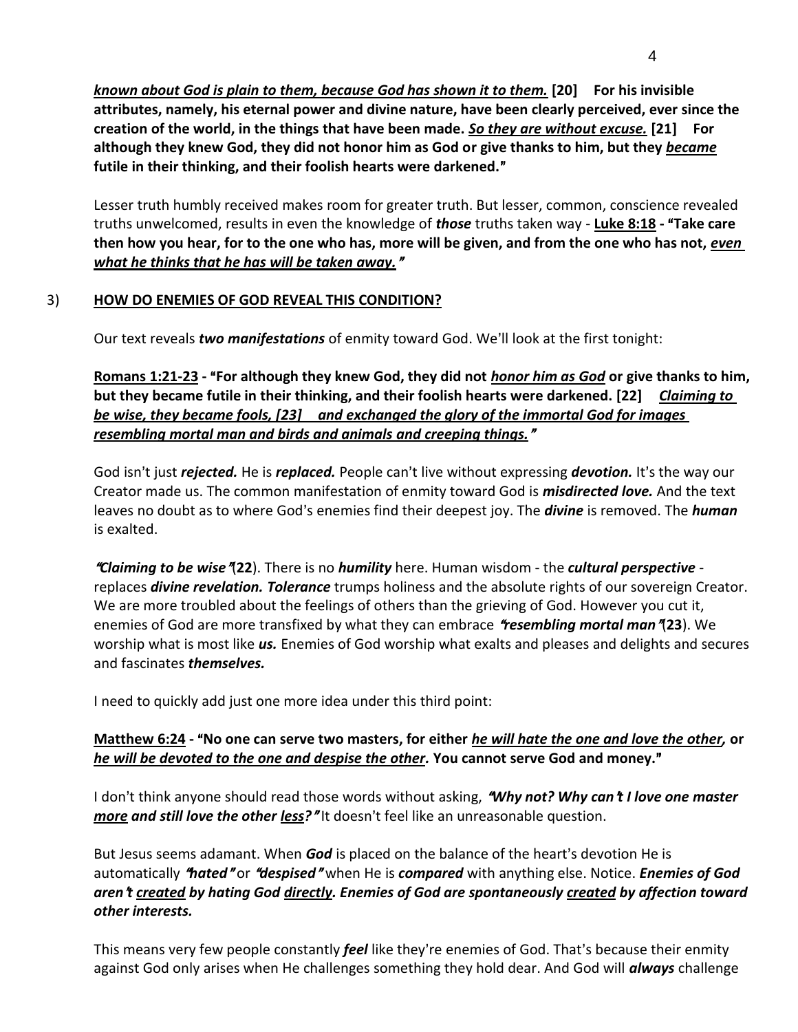*known about God is plain to them, because God has shown it to them.* **[20] For his invisible attributes, namely, his eternal power and divine nature, have been clearly perceived, ever since the creation of the world, in the things that have been made.** *So they are without excuse.* **[21] For although they knew God, they did not honor him as God or give thanks to him, but they** *became* futile in their thinking, and their foolish hearts were darkened."

Lesser truth humbly received makes room for greater truth. But lesser, common, conscience revealed truths unwelcomed, results in even the knowledge of *those* truths taken way - **Luke 8:18 - "Take care** then how you hear, for to the one who has, more will be given, and from the one who has not, *even what he thinks that he has will be taken away.*@

#### 3) **HOW DO ENEMIES OF GOD REVEAL THIS CONDITION?**

Our text reveals *two manifestations* of enmity toward God. We'll look at the first tonight:

Romans 1:21-23 - "For although they knew God, they did not *honor him as God* or give thanks to him, **but they became futile in their thinking, and their foolish hearts were darkened. [22]** *Claiming to be wise, they became fools, [23] and exchanged the glory of the immortal God for images resembling mortal man and birds and animals and creeping things.*@

God isn't just *rejected.* He is *replaced.* People can't live without expressing *devotion.* It's the way our Creator made us. The common manifestation of enmity toward God is *misdirected love.* And the text leaves no doubt as to where God's enemies find their deepest joy. The *divine* is removed. The *human* is exalted.

<sup>A</sup>*Claiming to be wise*@(**22**). There is no *humility* here. Human wisdom - the *cultural perspective* replaces *divine revelation. Tolerance* trumps holiness and the absolute rights of our sovereign Creator. We are more troubled about the feelings of others than the grieving of God. However you cut it, enemies of God are more transfixed by what they can embrace *"resembling mortal man"*(23). We worship what is most like *us.* Enemies of God worship what exalts and pleases and delights and secures and fascinates *themselves.*

I need to quickly add just one more idea under this third point:

#### **Matthew 6:24 -** A**No one can serve two masters, for either** *he will hate the one and love the other,* **or**  *he will be devoted to the one and despise the other.* **You cannot serve God and money.**@

I don't think anyone should read those words without asking, **"Why not? Why can't I love one master** *more* and still love the other less?" It doesn't feel like an unreasonable question.

But Jesus seems adamant. When **God** is placed on the balance of the heart's devotion He is automatically "*hated"* or "*despised"* when He is *compared* with anything else. Notice. *Enemies of God aren*=*t created by hating God directly. Enemies of God are spontaneously created by affection toward other interests.* 

This means very few people constantly *feel* like they're enemies of God. That's because their enmity against God only arises when He challenges something they hold dear. And God will *always* challenge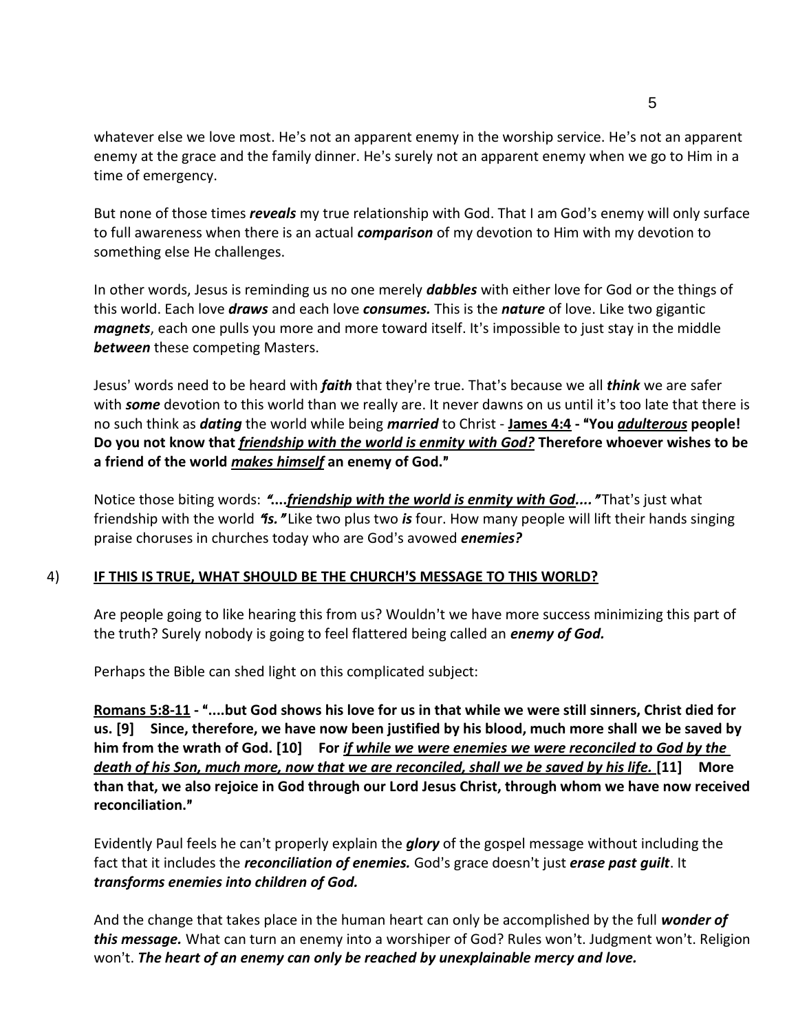whatever else we love most. He's not an apparent enemy in the worship service. He's not an apparent enemy at the grace and the family dinner. He's surely not an apparent enemy when we go to Him in a time of emergency.

But none of those times *reveals* my true relationship with God. That I am God's enemy will only surface to full awareness when there is an actual *comparison* of my devotion to Him with my devotion to something else He challenges.

In other words, Jesus is reminding us no one merely *dabbles* with either love for God or the things of this world. Each love *draws* and each love *consumes.* This is the *nature* of love. Like two gigantic *magnets*, each one pulls you more and more toward itself. It's impossible to just stay in the middle *between* these competing Masters.

Jesus' words need to be heard with *faith* that they're true. That's because we all *think* we are safer with *some* devotion to this world than we really are. It never dawns on us until it's too late that there is no such think as *dating* the world while being *married* to Christ - **James 4:4 -** A**You** *adulterous* **people! Do you not know that** *friendship with the world is enmity with God?* **Therefore whoever wishes to be a friend of the world** *makes himself* **an enemy of God.**@

Notice those biting words: "....*friendship with the world is enmity with God....*"That's just what friendship with the world A*is.*@ Like two plus two *is* four. How many people will lift their hands singing praise choruses in churches today who are God's avowed *enemies?* 

#### 4) **IF THIS IS TRUE, WHAT SHOULD BE THE CHURCH**=**S MESSAGE TO THIS WORLD?**

Are people going to like hearing this from us? Wouldn't we have more success minimizing this part of the truth? Surely nobody is going to feel flattered being called an *enemy of God.*

Perhaps the Bible can shed light on this complicated subject:

**Romans 5:8-11 -** A**....but God shows his love for us in that while we were still sinners, Christ died for us. [9] Since, therefore, we have now been justified by his blood, much more shall we be saved by him from the wrath of God. [10] For** *if while we were enemies we were reconciled to God by the death of his Son, much more, now that we are reconciled, shall we be saved by his life.* **[11] More than that, we also rejoice in God through our Lord Jesus Christ, through whom we have now received reconciliation.**@

Evidently Paul feels he can't properly explain the *glory* of the gospel message without including the fact that it includes the *reconciliation of enemies*. God's grace doesn't just *erase past quilt*. It *transforms enemies into children of God.*

And the change that takes place in the human heart can only be accomplished by the full *wonder of this message.* What can turn an enemy into a worshiper of God? Rules won't. Judgment won't. Religion won't. **The heart of an enemy can only be reached by unexplainable mercy and love.**